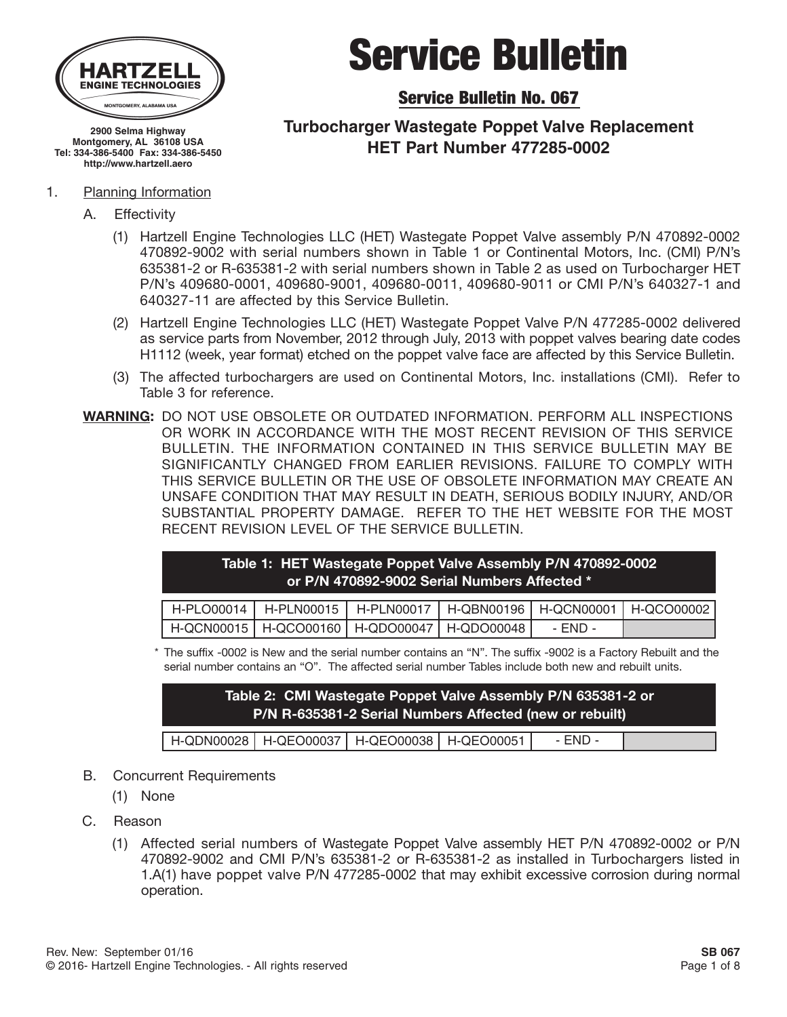

**2900 Selma Highway Montgomery, AL 36108 USA Tel: 334-386-5400 Fax: 334-386-5450 http://www.hartzell.aero**

#### 1. Planning Information

- A. Effectivity
	- (1) Hartzell Engine Technologies LLC (HET) Wastegate Poppet Valve assembly P/N 470892-0002 470892-9002 with serial numbers shown in Table 1 or Continental Motors, Inc. (CMI) P/N's 635381-2 or R-635381-2 with serial numbers shown in Table 2 as used on Turbocharger HET P/N's 409680-0001, 409680-9001, 409680-0011, 409680-9011 or CMI P/N's 640327-1 and 640327-11 are affected by this Service Bulletin.
	- (2) Hartzell Engine Technologies LLC (HET) Wastegate Poppet Valve P/N 477285-0002 delivered as service parts from November, 2012 through July, 2013 with poppet valves bearing date codes H1112 (week, year format) etched on the poppet valve face are affected by this Service Bulletin.
	- (3) The affected turbochargers are used on Continental Motors, Inc. installations (CMI). Refer to Table 3 for reference.
- **WARNING:** DO NOT USE OBSOLETE OR OUTDATED INFORMATION. PERFORM ALL INSPECTIONS OR WORK IN ACCORDANCE WITH THE MOST RECENT REVISION OF THIS SERVICE BULLETIN. THE INFORMATION CONTAINED IN THIS SERVICE BULLETIN MAY BE SIGNIFICANTLY CHANGED FROM EARLIER REVISIONS. FAILURE TO COMPLY WITH THIS SERVICE BULLETIN OR THE USE OF OBSOLETE INFORMATION MAY CREATE AN UNSAFE CONDITION THAT MAY RESULT IN DEATH, SERIOUS BODILY INJURY, AND/OR SUBSTANTIAL PROPERTY DAMAGE. REFER TO THE HET WEBSITE FOR THE MOST RECENT REVISION LEVEL OF THE SERVICE BULLETIN.

| Table 1: HET Wastegate Poppet Valve Assembly P/N 470892-0002 |  |
|--------------------------------------------------------------|--|
| ' or P/N 470892-9002 Serial Numbers Affected * .             |  |

| H-QCN00015   H-QCO00160   H-QDO00047   H-QDO00048 |  | $- FND -$ |  |
|---------------------------------------------------|--|-----------|--|

\* The suffix -0002 is New and the serial number contains an "N". The suffix -9002 is a Factory Rebuilt and the serial number contains an "O". The affected serial number Tables include both new and rebuilt units.

| Table 2: CMI Wastegate Poppet Valve Assembly P/N 635381-2 or a<br>P/N R-635381-2 Serial Numbers Affected (new or rebuilt) |                                                   |  |  |         |  |
|---------------------------------------------------------------------------------------------------------------------------|---------------------------------------------------|--|--|---------|--|
|                                                                                                                           | H-QDN00028   H-QEO00037   H-QEO00038   H-QEO00051 |  |  | - END - |  |

- B. Concurrent Requirements
	- (1) None
- C. Reason
	- (1) Affected serial numbers of Wastegate Poppet Valve assembly HET P/N 470892-0002 or P/N 470892-9002 and CMI P/N's 635381-2 or R-635381-2 as installed in Turbochargers listed in 1.A(1) have poppet valve P/N 477285-0002 that may exhibit excessive corrosion during normal operation.

# Service Bulletin

Service Bulletin No. 067

### **Turbocharger Wastegate Poppet Valve Replacement HET Part Number 477285-0002**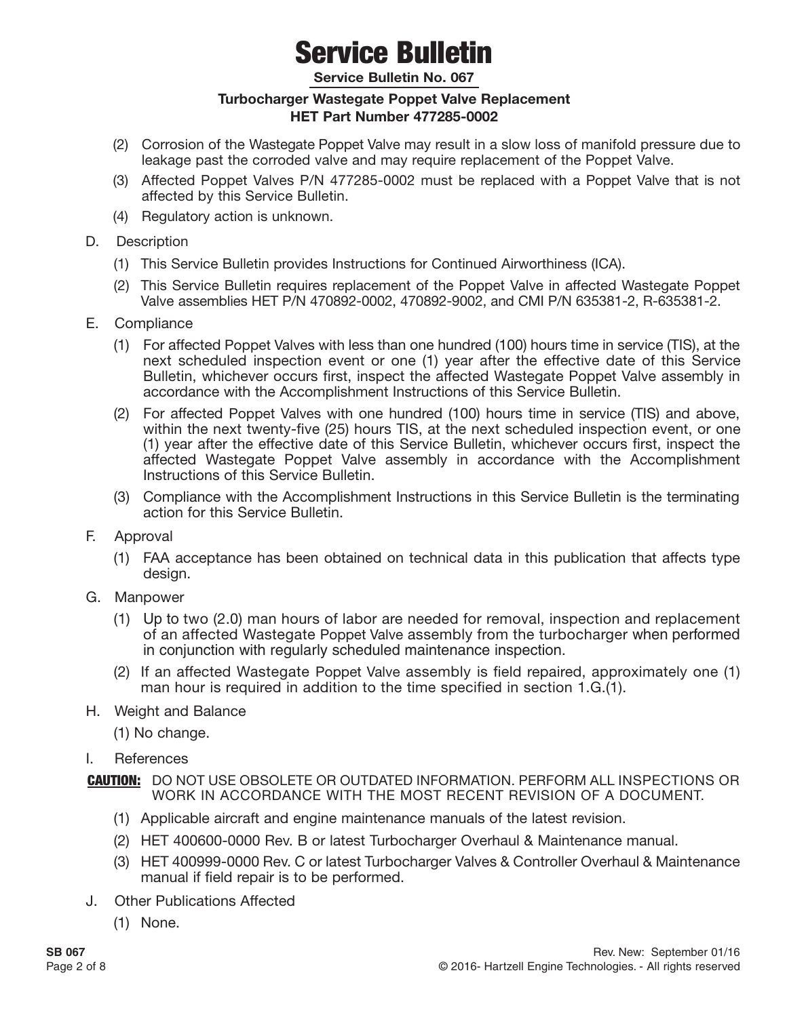**Service Bulletin No. 067**

#### **Turbocharger Wastegate Poppet Valve Replacement HET Part Number 477285-0002**

- (2) Corrosion of the Wastegate Poppet Valve may result in a slow loss of manifold pressure due to leakage past the corroded valve and may require replacement of the Poppet Valve.
- (3) Affected Poppet Valves P/N 477285-0002 must be replaced with a Poppet Valve that is not affected by this Service Bulletin.
- (4) Regulatory action is unknown.
- D. Description
	- (1) This Service Bulletin provides Instructions for Continued Airworthiness (ICA).
	- (2) This Service Bulletin requires replacement of the Poppet Valve in affected Wastegate Poppet Valve assemblies HET P/N 470892-0002, 470892-9002, and CMI P/N 635381-2, R-635381-2.
- E. Compliance
	- (1) For affected Poppet Valves with less than one hundred (100) hours time in service (TIS), at the next scheduled inspection event or one (1) year after the effective date of this Service Bulletin, whichever occurs first, inspect the affected Wastegate Poppet Valve assembly in accordance with the Accomplishment Instructions of this Service Bulletin.
	- (2) For affected Poppet Valves with one hundred (100) hours time in service (TIS) and above, within the next twenty-five (25) hours TIS, at the next scheduled inspection event, or one (1) year after the effective date of this Service Bulletin, whichever occurs first, inspect the affected Wastegate Poppet Valve assembly in accordance with the Accomplishment Instructions of this Service Bulletin.
	- (3) Compliance with the Accomplishment Instructions in this Service Bulletin is the terminating action for this Service Bulletin.
- F. Approval
	- (1) FAA acceptance has been obtained on technical data in this publication that affects type design.
- G. Manpower
	- (1) Up to two (2.0) man hours of labor are needed for removal, inspection and replacement of an affected Wastegate Poppet Valve assembly from the turbocharger when performed in conjunction with regularly scheduled maintenance inspection.
	- (2) If an affected Wastegate Poppet Valve assembly is field repaired, approximately one (1) man hour is required in addition to the time specified in section 1.G.(1).
- H. Weight and Balance
	- (1) No change.
- I. References

- (1) Applicable aircraft and engine maintenance manuals of the latest revision.
- (2) HET 400600-0000 Rev. B or latest Turbocharger Overhaul & Maintenance manual.
- (3) HET 400999-0000 Rev. C or latest Turbocharger Valves & Controller Overhaul & Maintenance manual if field repair is to be performed.
- J. Other Publications Affected
	- (1) None.

CAUTION: DO NOT USE OBSOLETE OR OUTDATED INFORMATION. PERFORM ALL INSPECTIONS OR WORK IN ACCORDANCE WITH THE MOST RECENT REVISION OF A DOCUMENT.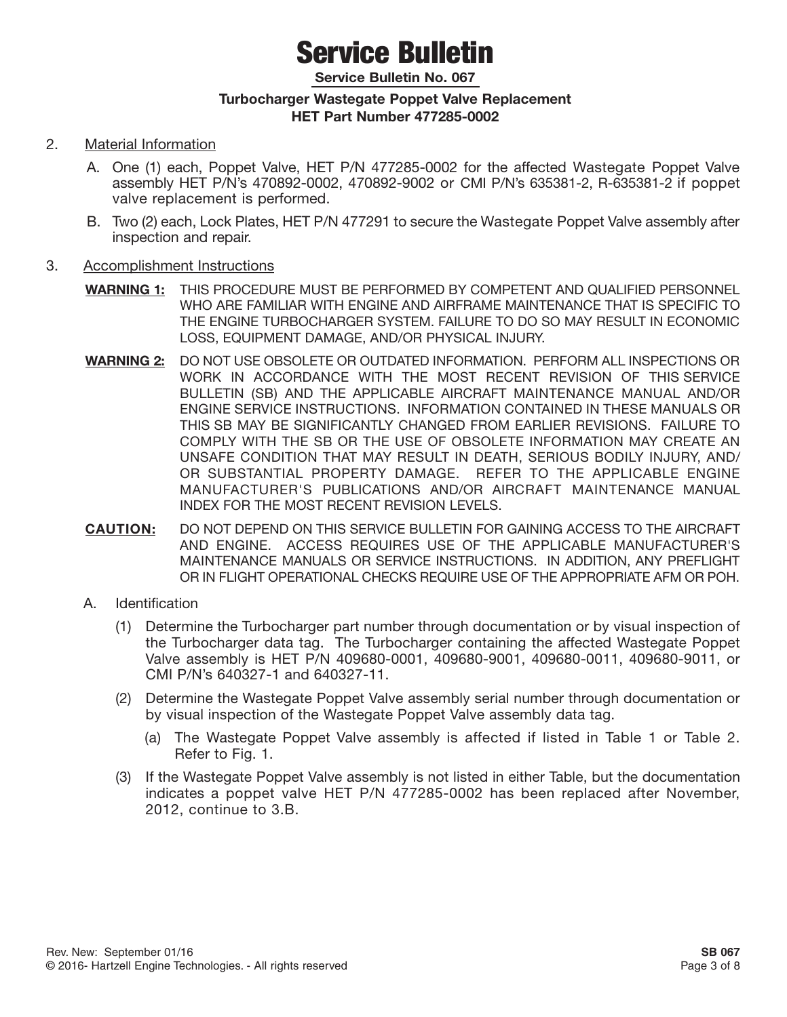**Service Bulletin No. 067**

#### **Turbocharger Wastegate Poppet Valve Replacement HET Part Number 477285-0002**

- 2. Material Information
	- A. One (1) each, Poppet Valve, HET P/N 477285-0002 for the affected Wastegate Poppet Valve assembly HET P/N's 470892-0002, 470892-9002 or CMI P/N's 635381-2, R-635381-2 if poppet valve replacement is performed.
	- B. Two (2) each, Lock Plates, HET P/N 477291 to secure the Wastegate Poppet Valve assembly after inspection and repair.
- 3. Accomplishment Instructions
	- **WARNING 1:** THIS PROCEDURE MUST BE PERFORMED BY COMPETENT AND QUALIFIED PERSONNEL WHO ARE FAMILIAR WITH ENGINE AND AIRFRAME MAINTENANCE THAT IS SPECIFIC TO THE ENGINE TURBOCHARGER SYSTEM. FAILURE TO DO SO MAY RESULT IN ECONOMIC LOSS, EQUIPMENT DAMAGE, AND/OR PHYSICAL INJURY.
	- **WARNING 2:** DO NOT USE OBSOLETE OR OUTDATED INFORMATION. PERFORM ALL INSPECTIONS OR WORK IN ACCORDANCE WITH THE MOST RECENT REVISION OF THIS SERVICE BULLETIN (SB) AND THE APPLICABLE AIRCRAFT MAINTENANCE MANUAL AND/OR ENGINE SERVICE INSTRUCTIONS. INFORMATION CONTAINED IN THESE MANUALS OR THIS SB MAY BE SIGNIFICANTLY CHANGED FROM EARLIER REVISIONS. FAILURE TO COMPLY WITH THE SB OR THE USE OF OBSOLETE INFORMATION MAY CREATE AN UNSAFE CONDITION THAT MAY RESULT IN DEATH, SERIOUS BODILY INJURY, AND/ OR SUBSTANTIAL PROPERTY DAMAGE. REFER TO THE APPLICABLE ENGINE MANUFACTURER'S PUBLICATIONS AND/OR AIRCRAFT MAINTENANCE MANUAL INDEX FOR THE MOST RECENT REVISION LEVELS.
	- **CAUTION:** DO NOT DEPEND ON THIS SERVICE BULLETIN FOR GAINING ACCESS TO THE AIRCRAFT AND ENGINE. ACCESS REQUIRES USE OF THE APPLICABLE MANUFACTURER'S MAINTENANCE MANUALS OR SERVICE INSTRUCTIONS. IN ADDITION, ANY PREFLIGHT OR IN FLIGHT OPERATIONAL CHECKS REQUIRE USE OF THE APPROPRIATE AFM OR POH.
	- A. Identification
		- (1) Determine the Turbocharger part number through documentation or by visual inspection of the Turbocharger data tag. The Turbocharger containing the affected Wastegate Poppet Valve assembly is HET P/N 409680-0001, 409680-9001, 409680-0011, 409680-9011, or CMI P/N's 640327-1 and 640327-11.
		- (2) Determine the Wastegate Poppet Valve assembly serial number through documentation or by visual inspection of the Wastegate Poppet Valve assembly data tag.
			- (a) The Wastegate Poppet Valve assembly is affected if listed in Table 1 or Table 2. Refer to Fig. 1.
		- (3) If the Wastegate Poppet Valve assembly is not listed in either Table, but the documentation indicates a poppet valve HET P/N 477285-0002 has been replaced after November, 2012, continue to 3.B.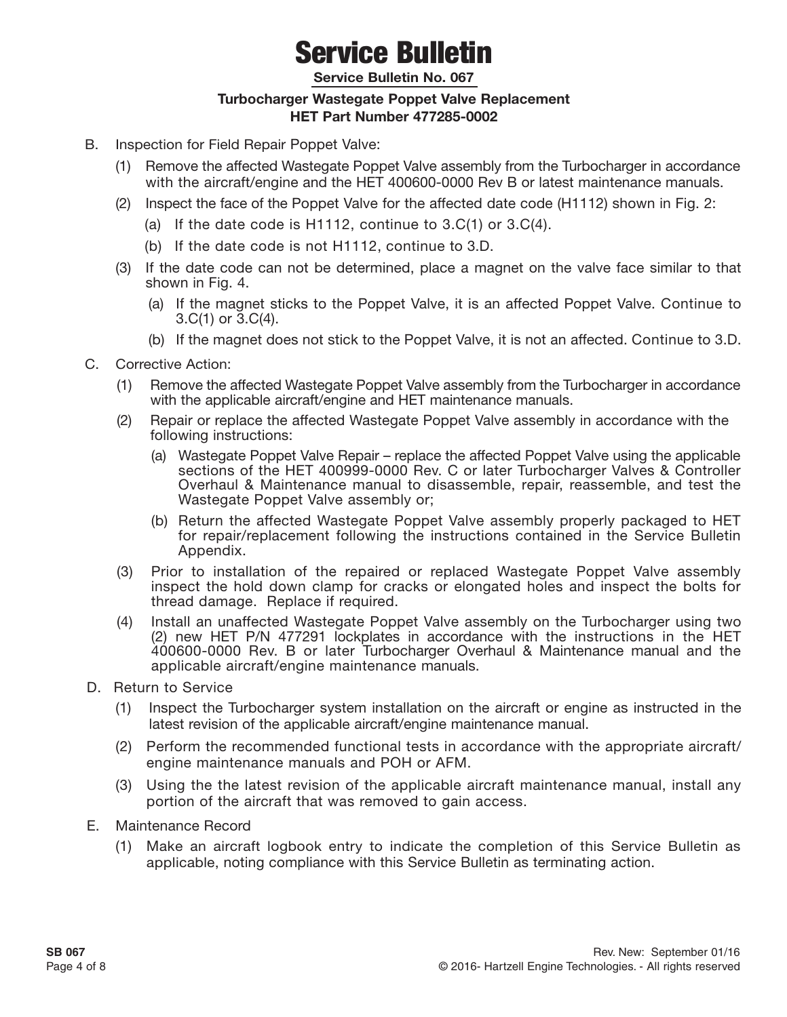**Service Bulletin No. 067**

#### **Turbocharger Wastegate Poppet Valve Replacement HET Part Number 477285-0002**

- B. Inspection for Field Repair Poppet Valve:
	- (1) Remove the affected Wastegate Poppet Valve assembly from the Turbocharger in accordance with the aircraft/engine and the HET 400600-0000 Rev B or latest maintenance manuals.
	- (2) Inspect the face of the Poppet Valve for the affected date code (H1112) shown in Fig. 2:
		- (a) If the date code is H1112, continue to 3.C(1) or 3.C(4).
		- (b) If the date code is not H1112, continue to 3.D.
	- (3) If the date code can not be determined, place a magnet on the valve face similar to that shown in Fig. 4.
		- (a) If the magnet sticks to the Poppet Valve, it is an affected Poppet Valve. Continue to 3.C(1) or 3.C(4).
		- (b) If the magnet does not stick to the Poppet Valve, it is not an affected. Continue to 3.D.
- C. Corrective Action:
	- (1) Remove the affected Wastegate Poppet Valve assembly from the Turbocharger in accordance with the applicable aircraft/engine and HET maintenance manuals.
	- (2) Repair or replace the affected Wastegate Poppet Valve assembly in accordance with the following instructions:
		- (a) Wastegate Poppet Valve Repair replace the affected Poppet Valve using the applicable sections of the HET 400999-0000 Rev. C or later Turbocharger Valves & Controller Overhaul & Maintenance manual to disassemble, repair, reassemble, and test the Wastegate Poppet Valve assembly or;
		- (b) Return the affected Wastegate Poppet Valve assembly properly packaged to HET for repair/replacement following the instructions contained in the Service Bulletin Appendix.
	- (3) Prior to installation of the repaired or replaced Wastegate Poppet Valve assembly inspect the hold down clamp for cracks or elongated holes and inspect the bolts for thread damage. Replace if required.
	- (4) Install an unaffected Wastegate Poppet Valve assembly on the Turbocharger using two (2) new HET P/N 477291 lockplates in accordance with the instructions in the HET 400600-0000 Rev. B or later Turbocharger Overhaul & Maintenance manual and the applicable aircraft/engine maintenance manuals.
- D. Return to Service
	- (1) Inspect the Turbocharger system installation on the aircraft or engine as instructed in the latest revision of the applicable aircraft/engine maintenance manual.
	- (2) Perform the recommended functional tests in accordance with the appropriate aircraft/ engine maintenance manuals and POH or AFM.
	- (3) Using the the latest revision of the applicable aircraft maintenance manual, install any portion of the aircraft that was removed to gain access.
- E. Maintenance Record
	- (1) Make an aircraft logbook entry to indicate the completion of this Service Bulletin as applicable, noting compliance with this Service Bulletin as terminating action.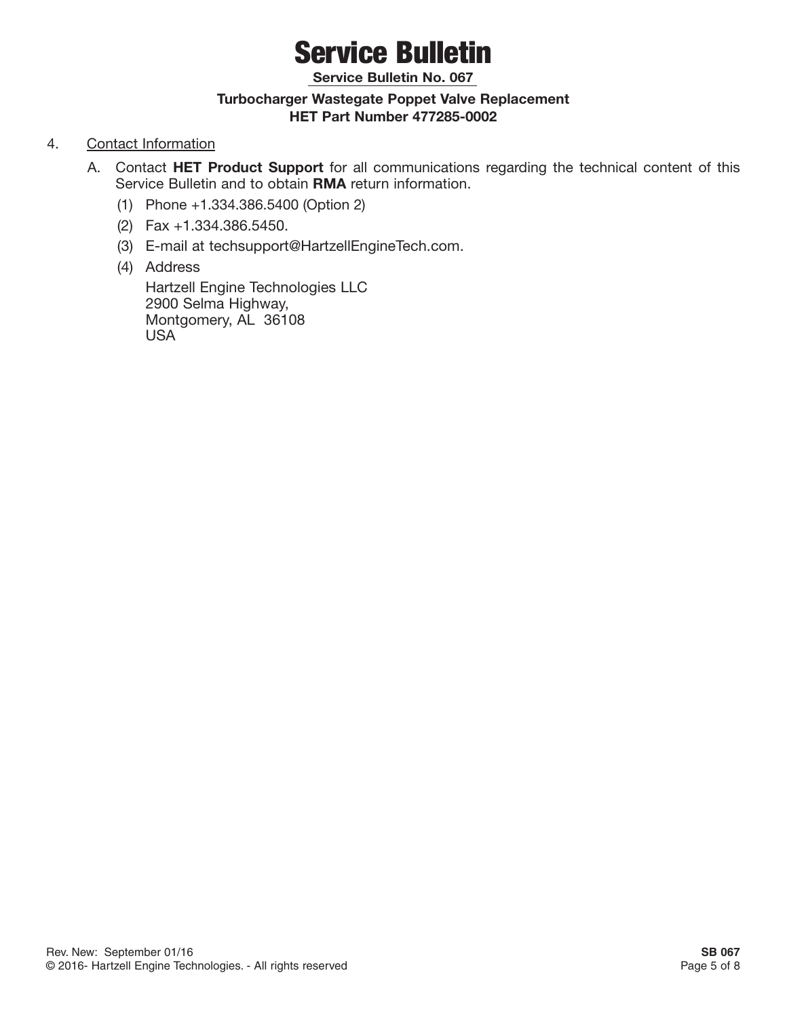**Service Bulletin No. 067**

#### **Turbocharger Wastegate Poppet Valve Replacement HET Part Number 477285-0002**

#### 4. Contact Information

- A. Contact **HET Product Support** for all communications regarding the technical content of this Service Bulletin and to obtain **RMA** return information.
	- (1) Phone +1.334.386.5400 (Option 2)
	- (2) Fax +1.334.386.5450.
	- (3) E-mail at techsupport@HartzellEngineTech.com.
	- (4) Address

Hartzell Engine Technologies LLC 2900 Selma Highway, Montgomery, AL 36108 USA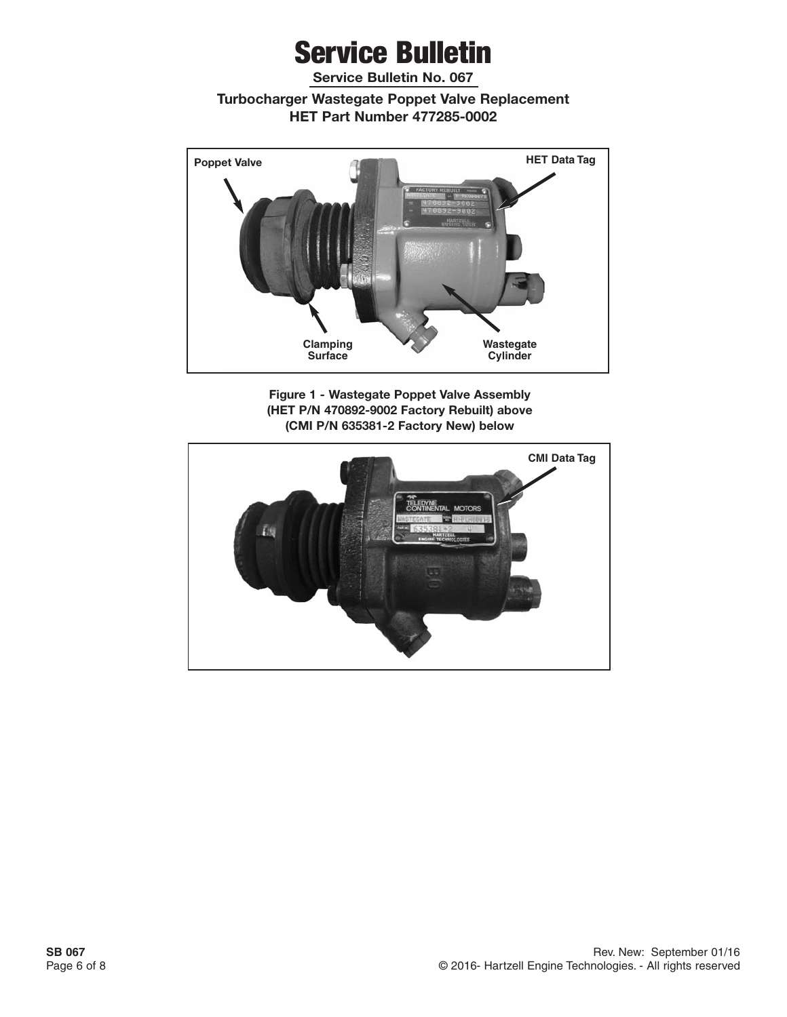**Service Bulletin No. 067**

**Turbocharger Wastegate Poppet Valve Replacement HET Part Number 477285-0002**



**Figure 1 - Wastegate Poppet Valve Assembly (HET P/N 470892-9002 Factory Rebuilt) above (CMI P/N 635381-2 Factory New) below**

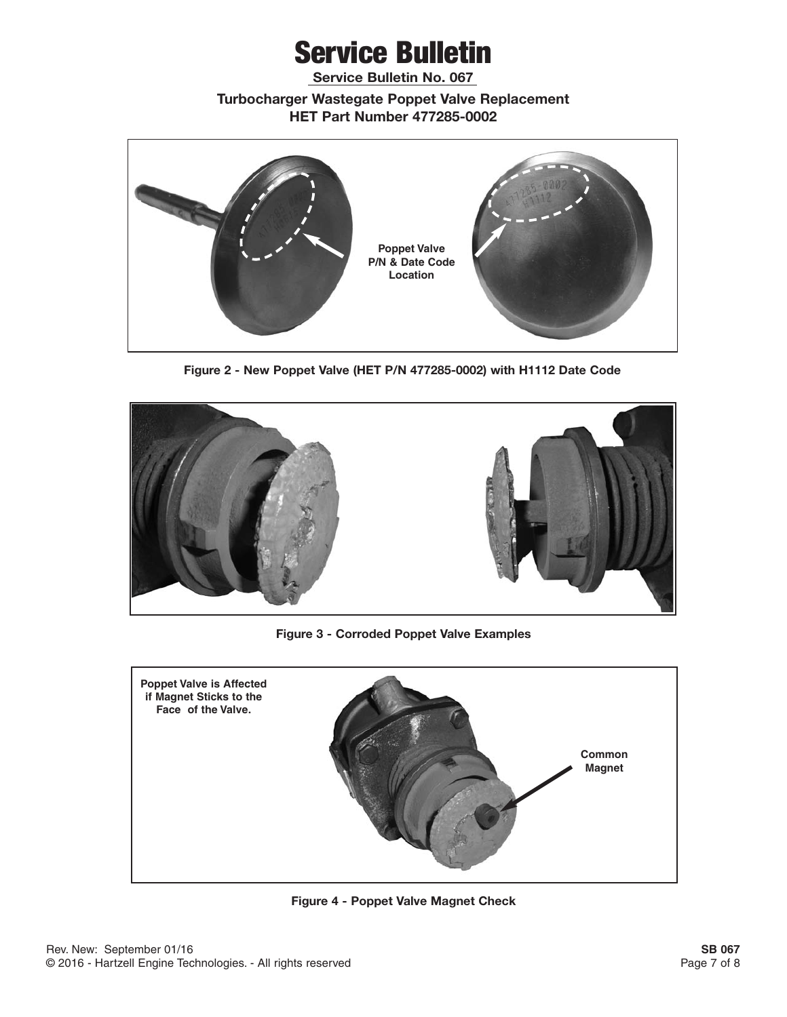**Service Bulletin No. 067**

**Turbocharger Wastegate Poppet Valve Replacement HET Part Number 477285-0002**



**Figure 2 - New Poppet Valve (HET P/N 477285-0002) with H1112 Date Code**



**Figure 3 - Corroded Poppet Valve Examples**



**Figure 4 - Poppet Valve Magnet Check**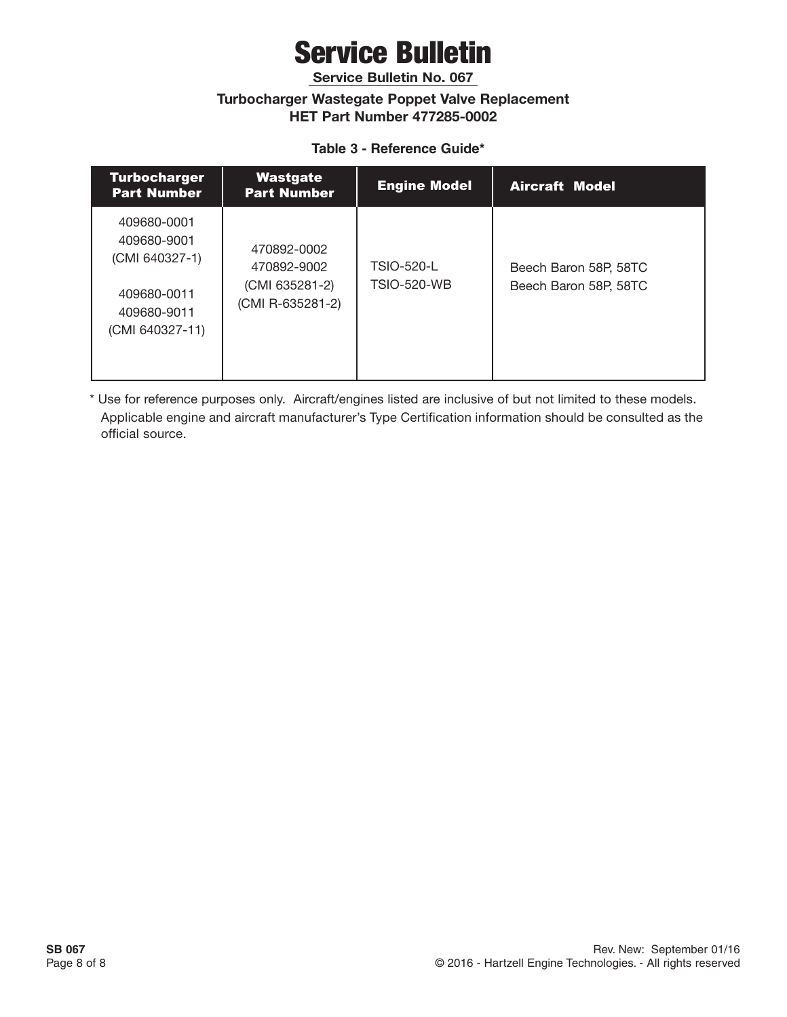**Service Bulletin No. 067**

#### **Turbocharger Wastegate Poppet Valve Replacement HET Part Number 477285-0002**

#### **Table 3 - Reference Guide\***

| <b>Turbocharger</b><br><b>Part Number</b>                                                     | Wastgate<br><b>Part Number</b>                                   | <b>Engine Model</b>                     | <b>Aircraft Model</b>                          |
|-----------------------------------------------------------------------------------------------|------------------------------------------------------------------|-----------------------------------------|------------------------------------------------|
| 409680-0001<br>409680-9001<br>(CMI 640327-1)<br>409680-0011<br>409680-9011<br>(CMI 640327-11) | 470892-0002<br>470892-9002<br>(CMI 635281-2)<br>(CMI R-635281-2) | <b>TSIO-520-L</b><br><b>TSIO-520-WB</b> | Beech Baron 58P, 58TC<br>Beech Baron 58P, 58TC |

\* Use for reference purposes only. Aircraft/engines listed are inclusive of but not limited to these models. Applicable engine and aircraft manufacturer's Type Certification information should be consulted as the official source.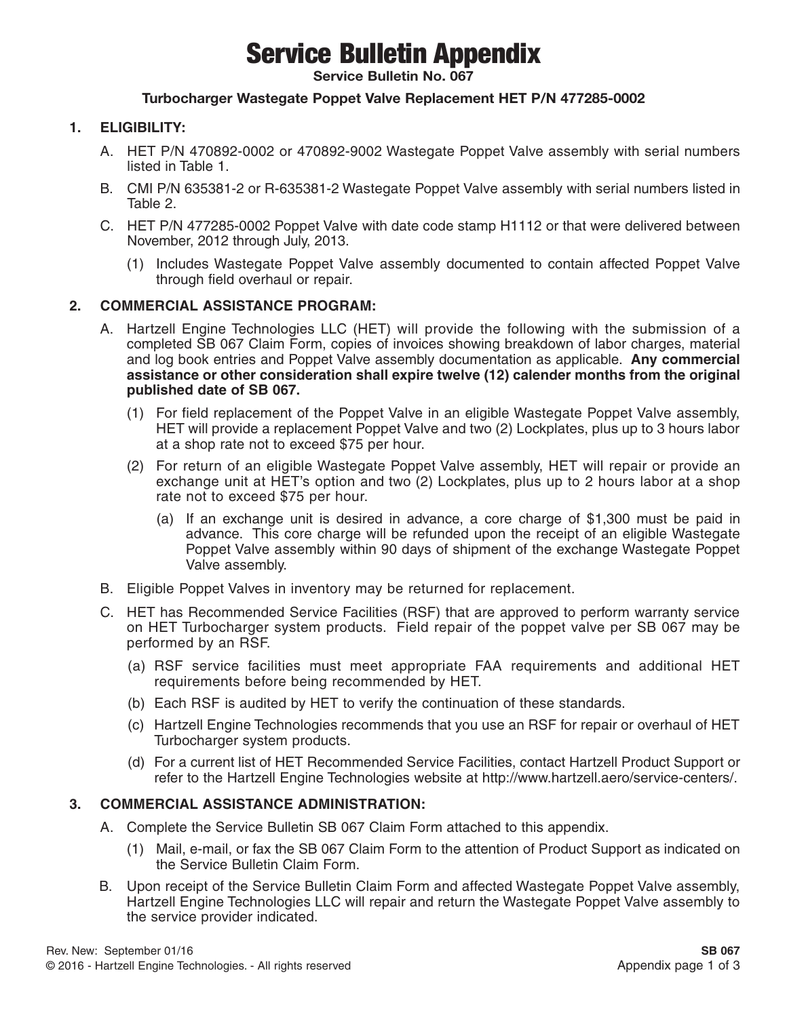### Service Bulletin Appendix

**Service Bulletin No. 067**

#### **Turbocharger Wastegate Poppet Valve Replacement HET P/N 477285-0002**

#### **1. ELIGIBILITY:**

- A. HET P/N 470892-0002 or 470892-9002 Wastegate Poppet Valve assembly with serial numbers listed in Table 1.
- B. CMI P/N 635381-2 or R-635381-2 Wastegate Poppet Valve assembly with serial numbers listed in Table 2.
- C. HET P/N 477285-0002 Poppet Valve with date code stamp H1112 or that were delivered between November, 2012 through July, 2013.
	- (1) Includes Wastegate Poppet Valve assembly documented to contain affected Poppet Valve through field overhaul or repair.

#### **2. COMMERCIAL ASSISTANCE PROGRAM:**

- A. Hartzell Engine Technologies LLC (HET) will provide the following with the submission of a completed SB 067 Claim Form, copies of invoices showing breakdown of labor charges, material and log book entries and Poppet Valve assembly documentation as applicable. **Any commercial assistance or other consideration shall expire twelve (12) calender months from the original published date of SB 067.**
	- (1) For field replacement of the Poppet Valve in an eligible Wastegate Poppet Valve assembly, HET will provide a replacement Poppet Valve and two (2) Lockplates, plus up to 3 hours labor at a shop rate not to exceed \$75 per hour.
	- (2) For return of an eligible Wastegate Poppet Valve assembly, HET will repair or provide an exchange unit at HET's option and two (2) Lockplates, plus up to 2 hours labor at a shop rate not to exceed \$75 per hour.
		- (a) If an exchange unit is desired in advance, a core charge of \$1,300 must be paid in advance. This core charge will be refunded upon the receipt of an eligible Wastegate Poppet Valve assembly within 90 days of shipment of the exchange Wastegate Poppet Valve assembly.
- B. Eligible Poppet Valves in inventory may be returned for replacement.
- C. HET has Recommended Service Facilities (RSF) that are approved to perform warranty service on HET Turbocharger system products. Field repair of the poppet valve per SB 067 may be performed by an RSF.
	- (a) RSF service facilities must meet appropriate FAA requirements and additional HET requirements before being recommended by HET.
	- (b) Each RSF is audited by HET to verify the continuation of these standards.
	- (c) Hartzell Engine Technologies recommends that you use an RSF for repair or overhaul of HET Turbocharger system products.
	- (d) For a current list of HET Recommended Service Facilities, contact Hartzell Product Support or refer to the Hartzell Engine Technologies website at http://www.hartzell.aero/service-centers/.

#### **3. COMMERCIAL ASSISTANCE ADMINISTRATION:**

- A. Complete the Service Bulletin SB 067 Claim Form attached to this appendix.
	- (1) Mail, e-mail, or fax the SB 067 Claim Form to the attention of Product Support as indicated on the Service Bulletin Claim Form.
- B. Upon receipt of the Service Bulletin Claim Form and affected Wastegate Poppet Valve assembly, Hartzell Engine Technologies LLC will repair and return the Wastegate Poppet Valve assembly to the service provider indicated.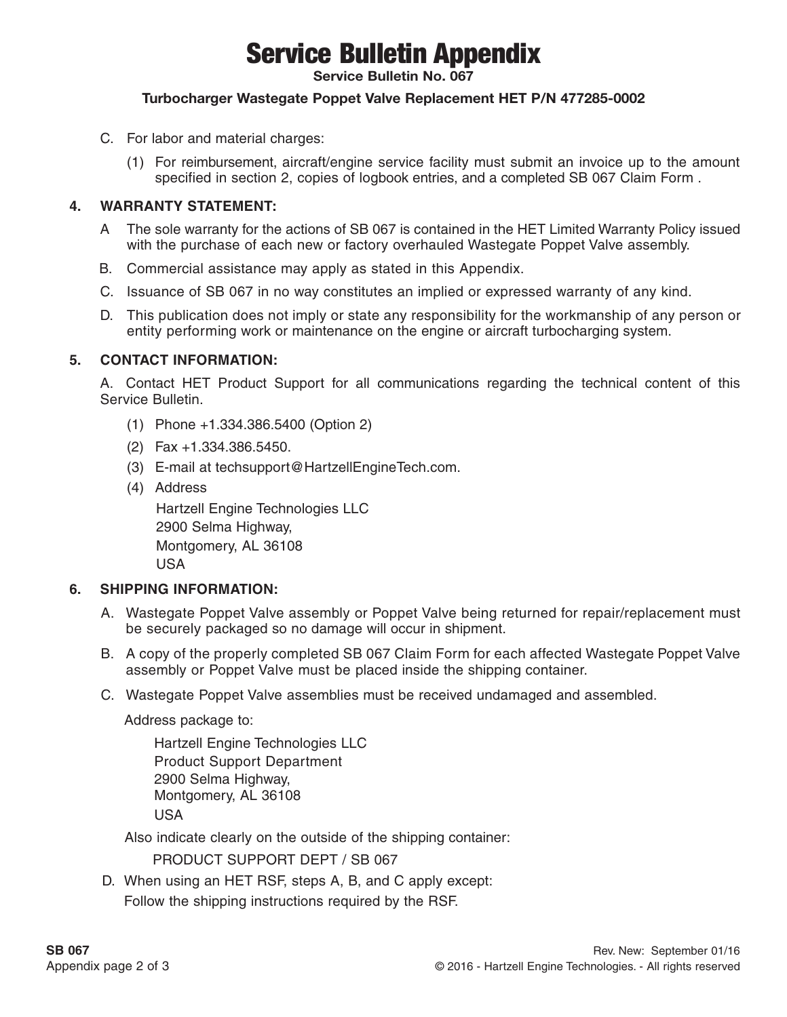## Service Bulletin Appendix

**Service Bulletin No. 067**

#### **Turbocharger Wastegate Poppet Valve Replacement HET P/N 477285-0002**

- C. For labor and material charges:
	- (1) For reimbursement, aircraft/engine service facility must submit an invoice up to the amount specified in section 2, copies of logbook entries, and a completed SB 067 Claim Form .

#### **4. WARRANTY STATEMENT:**

- A The sole warranty for the actions of SB 067 is contained in the HET Limited Warranty Policy issued with the purchase of each new or factory overhauled Wastegate Poppet Valve assembly.
- B. Commercial assistance may apply as stated in this Appendix.
- C. Issuance of SB 067 in no way constitutes an implied or expressed warranty of any kind.
- D. This publication does not imply or state any responsibility for the workmanship of any person or entity performing work or maintenance on the engine or aircraft turbocharging system.

#### **5. CONTACT INFORMATION:**

A. Contact HET Product Support for all communications regarding the technical content of this Service Bulletin.

- (1) Phone +1.334.386.5400 (Option 2)
- (2) Fax +1.334.386.5450.
- (3) E-mail at techsupport@HartzellEngineTech.com.
- (4) Address

Hartzell Engine Technologies LLC 2900 Selma Highway, Montgomery, AL 36108 USA

#### **6. SHIPPING INFORMATION:**

- A. Wastegate Poppet Valve assembly or Poppet Valve being returned for repair/replacement must be securely packaged so no damage will occur in shipment.
- B. A copy of the properly completed SB 067 Claim Form for each affected Wastegate Poppet Valve assembly or Poppet Valve must be placed inside the shipping container.
- C. Wastegate Poppet Valve assemblies must be received undamaged and assembled.

Address package to:

Hartzell Engine Technologies LLC Product Support Department 2900 Selma Highway, Montgomery, AL 36108 USA

Also indicate clearly on the outside of the shipping container:

PRODUCT SUPPORT DEPT / SB 067

D. When using an HET RSF, steps A, B, and C apply except: Follow the shipping instructions required by the RSF.